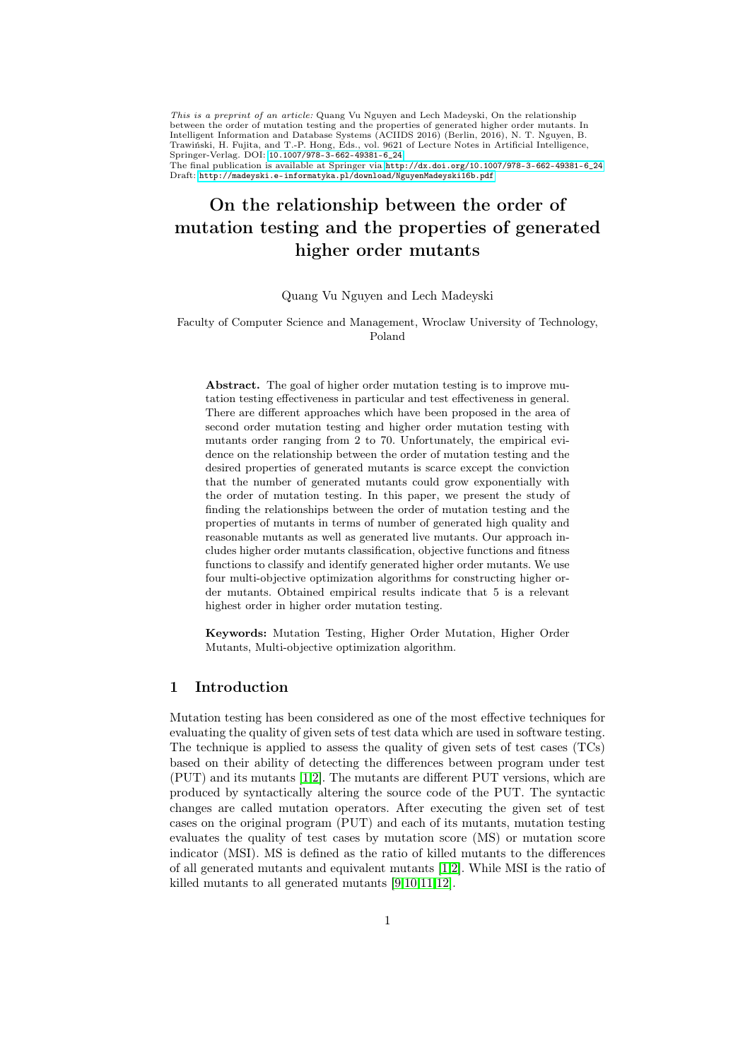This is a preprint of an article: Quang Vu Nguyen and Lech Madeyski, On the relationship between the order of mutation testing and the properties of generated higher order mutants. In Intelligent Information and Database Systems (ACIIDS 2016) (Berlin, 2016), N. T. Nguyen, B. Trawiński, H. Fujita, and T.-P. Hong, Eds., vol. 9621 of Lecture Notes in Artificial Intelligence, Springer-Verlag. DOI: [10.1007/978-3-662-49381-6\\_24](http://dx.doi.org/10.1007/978-3-662-49381-6_24) The final publication is available at Springer via [http://dx.doi.org/10.1007/978-3-662-49381-6\\_24](http://dx.doi.org/10.1007/978-3-662-49381-6_24) Draft: <http://madeyski.e-informatyka.pl/download/NguyenMadeyski16b.pdf>

# On the relationship between the order of mutation testing and the properties of generated higher order mutants

#### Quang Vu Nguyen and Lech Madeyski

## Faculty of Computer Science and Management, Wroclaw University of Technology, Poland

Abstract. The goal of higher order mutation testing is to improve mutation testing effectiveness in particular and test effectiveness in general. There are different approaches which have been proposed in the area of second order mutation testing and higher order mutation testing with mutants order ranging from 2 to 70. Unfortunately, the empirical evidence on the relationship between the order of mutation testing and the desired properties of generated mutants is scarce except the conviction that the number of generated mutants could grow exponentially with the order of mutation testing. In this paper, we present the study of finding the relationships between the order of mutation testing and the properties of mutants in terms of number of generated high quality and reasonable mutants as well as generated live mutants. Our approach includes higher order mutants classification, objective functions and fitness functions to classify and identify generated higher order mutants. We use four multi-objective optimization algorithms for constructing higher order mutants. Obtained empirical results indicate that 5 is a relevant highest order in higher order mutation testing.

Keywords: Mutation Testing, Higher Order Mutation, Higher Order Mutants, Multi-objective optimization algorithm.

# 1 Introduction

Mutation testing has been considered as one of the most effective techniques for evaluating the quality of given sets of test data which are used in software testing. The technique is applied to assess the quality of given sets of test cases (TCs) based on their ability of detecting the differences between program under test (PUT) and its mutants [\[1](#page-8-0)[,2\]](#page-8-1). The mutants are different PUT versions, which are produced by syntactically altering the source code of the PUT. The syntactic changes are called mutation operators. After executing the given set of test cases on the original program (PUT) and each of its mutants, mutation testing evaluates the quality of test cases by mutation score (MS) or mutation score indicator (MSI). MS is defined as the ratio of killed mutants to the differences of all generated mutants and equivalent mutants [\[1,](#page-8-0)[2\]](#page-8-1). While MSI is the ratio of killed mutants to all generated mutants [\[9](#page-9-0)[,10,](#page-9-1)[11,](#page-9-2)[12\]](#page-9-3).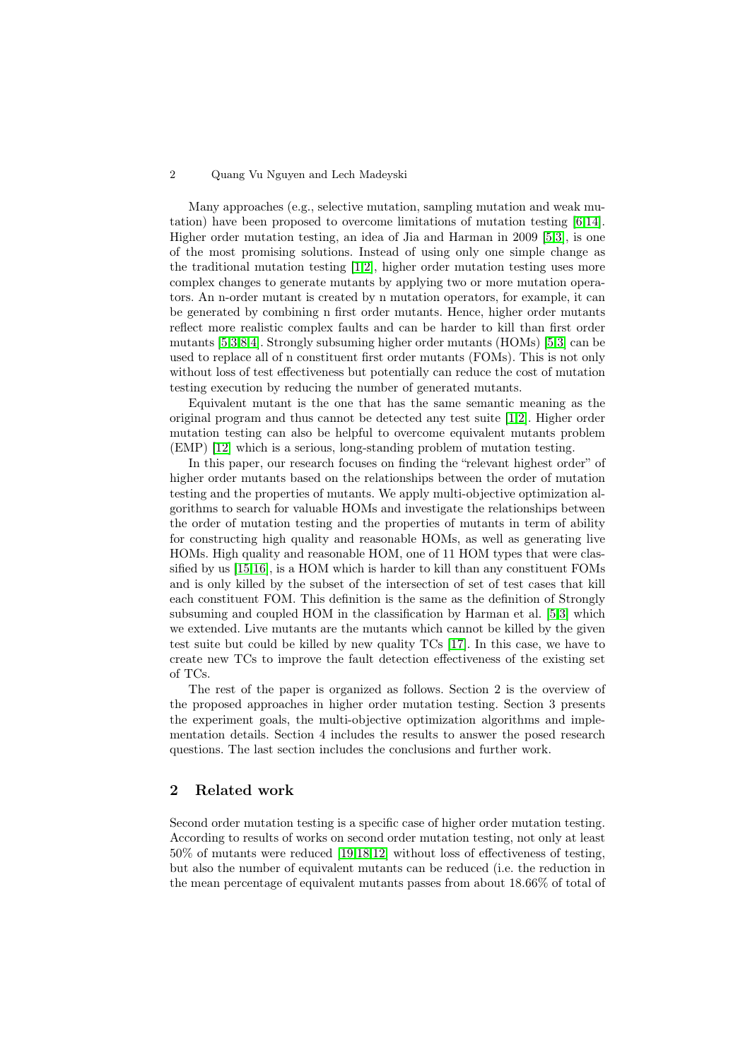Many approaches (e.g., selective mutation, sampling mutation and weak mutation) have been proposed to overcome limitations of mutation testing [\[6,](#page-8-2)[14\]](#page-9-4). Higher order mutation testing, an idea of Jia and Harman in 2009 [\[5,](#page-8-3)[3\]](#page-8-4), is one of the most promising solutions. Instead of using only one simple change as the traditional mutation testing [\[1](#page-8-0)[,2\]](#page-8-1), higher order mutation testing uses more complex changes to generate mutants by applying two or more mutation operators. An n-order mutant is created by n mutation operators, for example, it can be generated by combining n first order mutants. Hence, higher order mutants reflect more realistic complex faults and can be harder to kill than first order mutants [\[5,](#page-8-3)[3](#page-8-4)[,8,](#page-9-5)[4\]](#page-8-5). Strongly subsuming higher order mutants (HOMs) [\[5,](#page-8-3)[3\]](#page-8-4) can be used to replace all of n constituent first order mutants (FOMs). This is not only without loss of test effectiveness but potentially can reduce the cost of mutation testing execution by reducing the number of generated mutants.

Equivalent mutant is the one that has the same semantic meaning as the original program and thus cannot be detected any test suite [\[1,](#page-8-0)[2\]](#page-8-1). Higher order mutation testing can also be helpful to overcome equivalent mutants problem (EMP) [\[12\]](#page-9-3) which is a serious, long-standing problem of mutation testing.

In this paper, our research focuses on finding the "relevant highest order" of higher order mutants based on the relationships between the order of mutation testing and the properties of mutants. We apply multi-objective optimization algorithms to search for valuable HOMs and investigate the relationships between the order of mutation testing and the properties of mutants in term of ability for constructing high quality and reasonable HOMs, as well as generating live HOMs. High quality and reasonable HOM, one of 11 HOM types that were classified by us [\[15](#page-9-6)[,16\]](#page-9-7), is a HOM which is harder to kill than any constituent FOMs and is only killed by the subset of the intersection of set of test cases that kill each constituent FOM. This definition is the same as the definition of Strongly subsuming and coupled HOM in the classification by Harman et al. [\[5](#page-8-3)[,3\]](#page-8-4) which we extended. Live mutants are the mutants which cannot be killed by the given test suite but could be killed by new quality TCs [\[17\]](#page-9-8). In this case, we have to create new TCs to improve the fault detection effectiveness of the existing set of TCs.

The rest of the paper is organized as follows. Section 2 is the overview of the proposed approaches in higher order mutation testing. Section 3 presents the experiment goals, the multi-objective optimization algorithms and implementation details. Section 4 includes the results to answer the posed research questions. The last section includes the conclusions and further work.

# 2 Related work

Second order mutation testing is a specific case of higher order mutation testing. According to results of works on second order mutation testing, not only at least 50% of mutants were reduced [\[19](#page-9-9)[,18,](#page-9-10)[12\]](#page-9-3) without loss of effectiveness of testing, but also the number of equivalent mutants can be reduced (i.e. the reduction in the mean percentage of equivalent mutants passes from about 18.66% of total of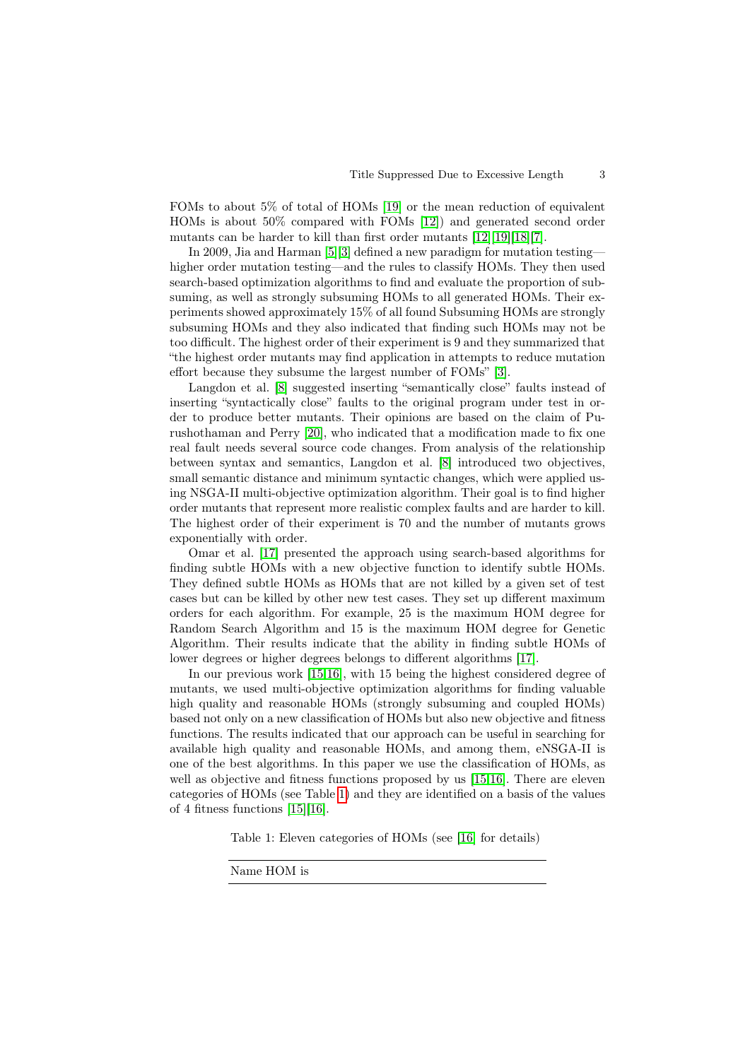FOMs to about 5% of total of HOMs [\[19\]](#page-9-9) or the mean reduction of equivalent HOMs is about 50% compared with FOMs [\[12\]](#page-9-3)) and generated second order mutants can be harder to kill than first order mutants [\[12\]](#page-9-3)[\[19\]](#page-9-9)[\[18\]](#page-9-10)[\[7\]](#page-9-11).

In 2009, Jia and Harman [\[5\]](#page-8-3)[\[3\]](#page-8-4) defined a new paradigm for mutation testing higher order mutation testing—and the rules to classify HOMs. They then used search-based optimization algorithms to find and evaluate the proportion of subsuming, as well as strongly subsuming HOMs to all generated HOMs. Their experiments showed approximately 15% of all found Subsuming HOMs are strongly subsuming HOMs and they also indicated that finding such HOMs may not be too difficult. The highest order of their experiment is 9 and they summarized that "the highest order mutants may find application in attempts to reduce mutation effort because they subsume the largest number of FOMs" [\[3\]](#page-8-4).

Langdon et al. [\[8\]](#page-9-5) suggested inserting "semantically close" faults instead of inserting "syntactically close" faults to the original program under test in order to produce better mutants. Their opinions are based on the claim of Purushothaman and Perry [\[20\]](#page-9-12), who indicated that a modification made to fix one real fault needs several source code changes. From analysis of the relationship between syntax and semantics, Langdon et al. [\[8\]](#page-9-5) introduced two objectives, small semantic distance and minimum syntactic changes, which were applied using NSGA-II multi-objective optimization algorithm. Their goal is to find higher order mutants that represent more realistic complex faults and are harder to kill. The highest order of their experiment is 70 and the number of mutants grows exponentially with order.

Omar et al. [\[17\]](#page-9-8) presented the approach using search-based algorithms for finding subtle HOMs with a new objective function to identify subtle HOMs. They defined subtle HOMs as HOMs that are not killed by a given set of test cases but can be killed by other new test cases. They set up different maximum orders for each algorithm. For example, 25 is the maximum HOM degree for Random Search Algorithm and 15 is the maximum HOM degree for Genetic Algorithm. Their results indicate that the ability in finding subtle HOMs of lower degrees or higher degrees belongs to different algorithms [\[17\]](#page-9-8).

In our previous work [\[15,](#page-9-6)[16\]](#page-9-7), with 15 being the highest considered degree of mutants, we used multi-objective optimization algorithms for finding valuable high quality and reasonable HOMs (strongly subsuming and coupled HOMs) based not only on a new classification of HOMs but also new objective and fitness functions. The results indicated that our approach can be useful in searching for available high quality and reasonable HOMs, and among them, eNSGA-II is one of the best algorithms. In this paper we use the classification of HOMs, as well as objective and fitness functions proposed by us [\[15,](#page-9-6)[16\]](#page-9-7). There are eleven categories of HOMs (see Table [1\)](#page-2-0) and they are identified on a basis of the values of 4 fitness functions [\[15\]](#page-9-6)[\[16\]](#page-9-7).

<span id="page-2-0"></span>Table 1: Eleven categories of HOMs (see [\[16\]](#page-9-7) for details)

Name HOM is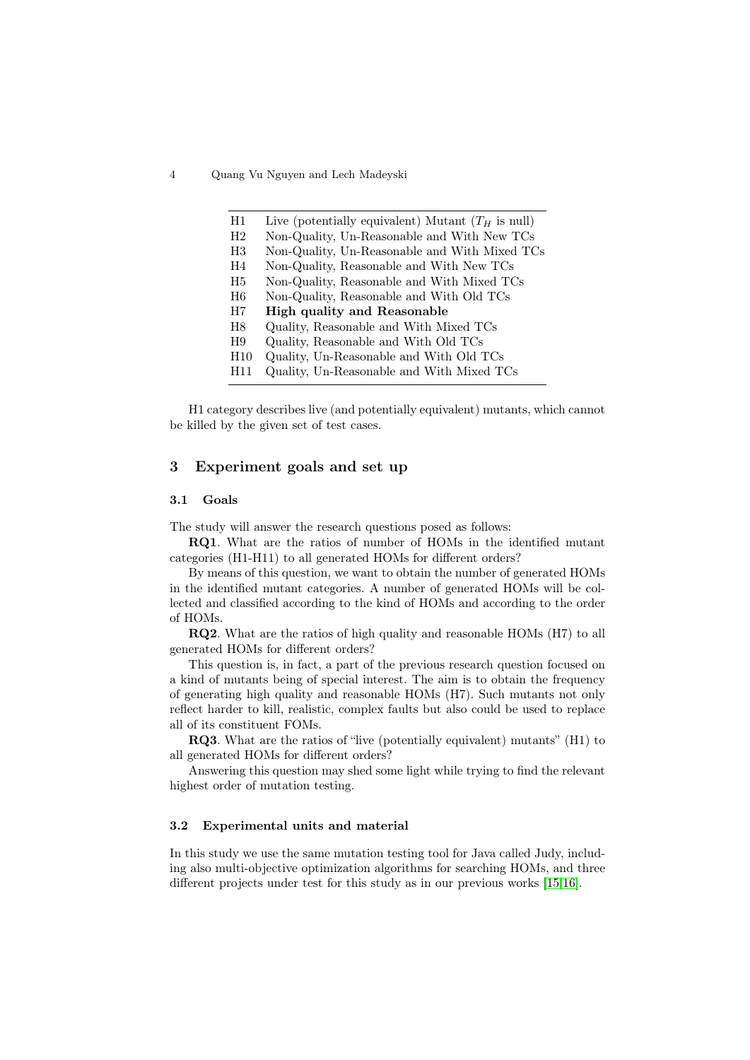- H1 Live (potentially equivalent) Mutant  $(T_H$  is null)
- H2 Non-Quality, Un-Reasonable and With New TCs
- H3 Non-Quality, Un-Reasonable and With Mixed TCs
- H4 Non-Quality, Reasonable and With New TCs
- H5 Non-Quality, Reasonable and With Mixed TCs
- H6 Non-Quality, Reasonable and With Old TCs
- H7 High quality and Reasonable
- H8 Quality, Reasonable and With Mixed TCs
- H9 Quality, Reasonable and With Old TCs
- H10 Quality, Un-Reasonable and With Old TCs
- H11 Quality, Un-Reasonable and With Mixed TCs

H1 category describes live (and potentially equivalent) mutants, which cannot be killed by the given set of test cases.

## 3 Experiment goals and set up

#### 3.1 Goals

The study will answer the research questions posed as follows:

RQ1. What are the ratios of number of HOMs in the identified mutant categories (H1-H11) to all generated HOMs for different orders?

By means of this question, we want to obtain the number of generated HOMs in the identified mutant categories. A number of generated HOMs will be collected and classified according to the kind of HOMs and according to the order of HOMs.

RQ2. What are the ratios of high quality and reasonable HOMs (H7) to all generated HOMs for different orders?

This question is, in fact, a part of the previous research question focused on a kind of mutants being of special interest. The aim is to obtain the frequency of generating high quality and reasonable HOMs (H7). Such mutants not only reflect harder to kill, realistic, complex faults but also could be used to replace all of its constituent FOMs.

RQ3. What are the ratios of "live (potentially equivalent) mutants" (H1) to all generated HOMs for different orders?

Answering this question may shed some light while trying to find the relevant highest order of mutation testing.

## 3.2 Experimental units and material

In this study we use the same mutation testing tool for Java called Judy, including also multi-objective optimization algorithms for searching HOMs, and three different projects under test for this study as in our previous works [\[15,](#page-9-6)[16\]](#page-9-7).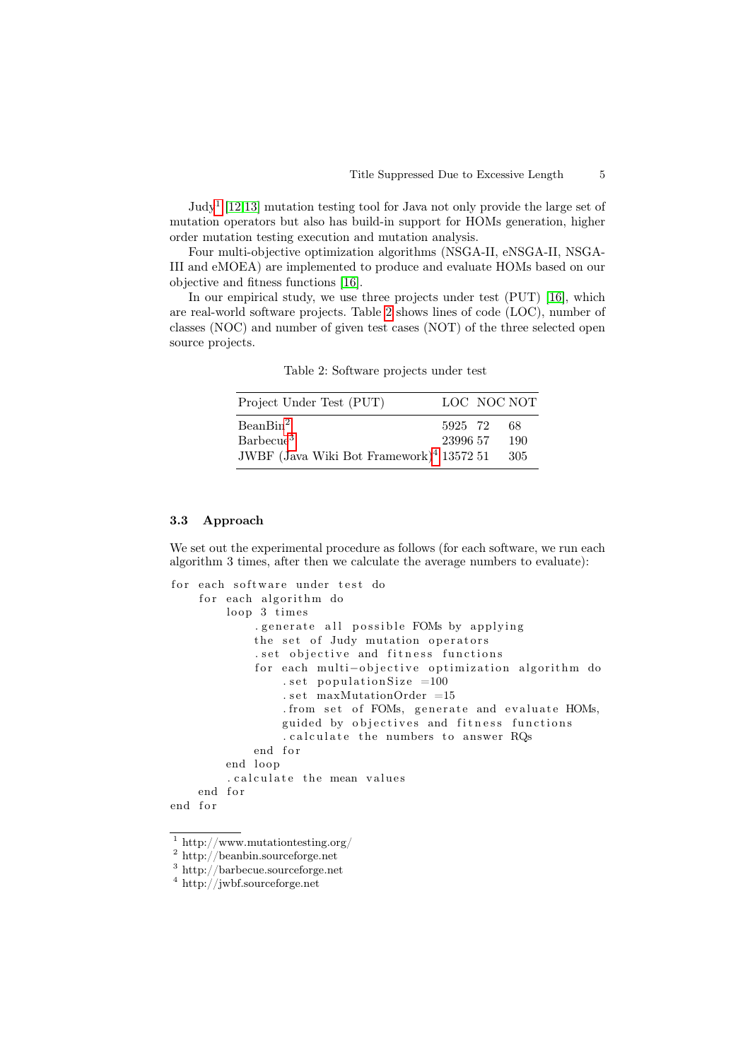Judy[1](#page-4-0) [\[12](#page-9-3)[,13\]](#page-9-13) mutation testing tool for Java not only provide the large set of mutation operators but also has build-in support for HOMs generation, higher order mutation testing execution and mutation analysis.

Four multi-objective optimization algorithms (NSGA-II, eNSGA-II, NSGA-III and eMOEA) are implemented to produce and evaluate HOMs based on our objective and fitness functions [\[16\]](#page-9-7).

In our empirical study, we use three projects under test (PUT) [\[16\]](#page-9-7), which are real-world software projects. Table [2](#page-4-1) shows lines of code (LOC), number of classes (NOC) and number of given test cases (NOT) of the three selected open source projects.

Table 2: Software projects under test

<span id="page-4-1"></span>

| Project Under Test (PUT)                                                                              | LOC NOC NOT         |                    |
|-------------------------------------------------------------------------------------------------------|---------------------|--------------------|
| BeanBin <sup>2</sup><br>Barbecue <sup>3</sup><br>JWBF (Java Wiki Bot Framework) <sup>4</sup> 13572 51 | 5925 72<br>23996 57 | 68.<br>-190<br>305 |

## 3.3 Approach

We set out the experimental procedure as follows (for each software, we run each algorithm 3 times, after then we calculate the average numbers to evaluate):

```
for each software under test do
    for each algorithm do
        loop 3 times
            . generate all possible FOMs by applying
            the set of Judy mutation operators
            . set objective and fitness functions
            for each multi-objective optimization algorithm do
                . set population Size =100. set maxMutationOrder =15. from set of FOMs, generate and evaluate HOMs,
                guided by objectives and fitness functions
                . calculate the numbers to answer RQs
            end for
        end loop
        . calculate the mean values
    end for
end for
```
<span id="page-4-0"></span> $^{\rm 1}$ http://www.mutationtesting.org/

<span id="page-4-2"></span><sup>2</sup> http://beanbin.sourceforge.net

<span id="page-4-3"></span><sup>3</sup> http://barbecue.sourceforge.net

<span id="page-4-4"></span><sup>4</sup> http://jwbf.sourceforge.net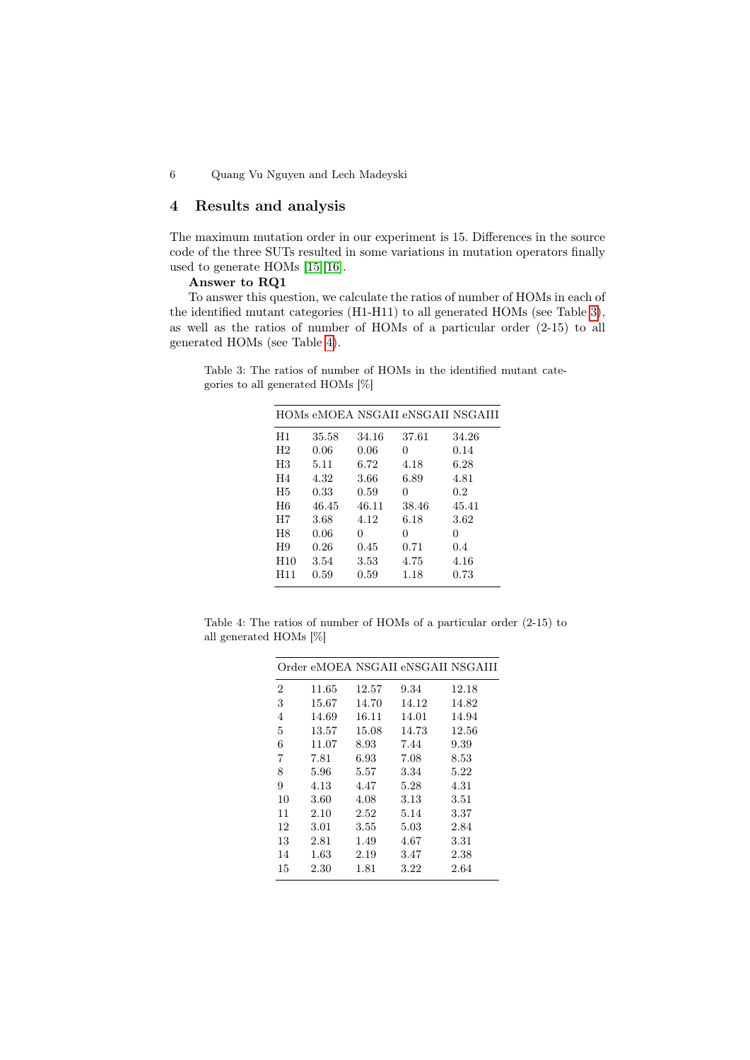# 4 Results and analysis

The maximum mutation order in our experiment is 15. Differences in the source code of the three SUTs resulted in some variations in mutation operators finally used to generate HOMs [\[15\]](#page-9-6)[\[16\]](#page-9-7).

## Answer to RQ1

To answer this question, we calculate the ratios of number of HOMs in each of the identified mutant categories (H1-H11) to all generated HOMs (see Table [3\)](#page-5-0), as well as the ratios of number of HOMs of a particular order (2-15) to all generated HOMs (see Table [4\)](#page-5-1).

<span id="page-5-0"></span>Table 3: The ratios of number of HOMs in the identified mutant categories to all generated HOMs [%]

|                |       |       | HOMs eMOEA NSGAII eNSGAII NSGAIII |              |
|----------------|-------|-------|-----------------------------------|--------------|
| H1             | 35.58 | 34.16 | 37.61                             | 34.26        |
| H <sub>2</sub> | 0.06  | 0.06  | 0                                 | 0.14         |
| H <sub>3</sub> | 5.11  | 6.72  | 4.18                              | 6.28         |
| H <sub>4</sub> | 4.32  | 3.66  | 6.89                              | 4.81         |
| H <sub>5</sub> | 0.33  | 0.59  | 0                                 | 0.2          |
| H <sub>6</sub> | 46.45 | 46.11 | 38.46                             | 45.41        |
| H7             | 3.68  | 4.12  | 6.18                              | 3.62         |
| H <sup>8</sup> | 0.06  | 0     | 0                                 | $\mathbf{0}$ |
| H <sub>9</sub> | 0.26  | 0.45  | 0.71                              | 0.4          |
| H10            | 3.54  | 3.53  | 4.75                              | 4.16         |
| H11            | 0.59  | 0.59  | 1.18                              | 0.73         |
|                |       |       |                                   |              |

<span id="page-5-1"></span>Table 4: The ratios of number of HOMs of a particular order (2-15) to all generated HOMs [%]

|    |          |       | Order eMOEA NSGAII eNSGAII NSGAIII |          |
|----|----------|-------|------------------------------------|----------|
| 2  | 11.65    | 12.57 | 9.34                               | 12.18    |
| 3  | 15.67    | 14.70 | 14.12                              | 14.82    |
| 4  | 14.69    | 16.11 | 14.01                              | 14.94    |
| 5  | 13.57    | 15.08 | 14.73                              | 12.56    |
| 6  | 11.07    | 8.93  | 7.44                               | 9.39     |
| 7  | 7.81     | 6.93  | 7.08                               | 8.53     |
| 8  | 5.96     | 5.57  | 3.34                               | 5.22     |
| 9  | 4.13     | 4.47  | 5.28                               | 4.31     |
| 10 | 3.60     | 4.08  | 3.13                               | 3.51     |
| 11 | 2.10     | 2.52  | 5.14                               | 3.37     |
| 12 | 3.01     | 3.55  | 5.03                               | 2.84     |
| 13 | 2.81     | 1.49  | 4.67                               | $3.31\,$ |
| 14 | $1.63\,$ | 2.19  | 3.47                               | 2.38     |
| 15 | 2.30     | 1.81  | 3.22                               | 2.64     |
|    |          |       |                                    |          |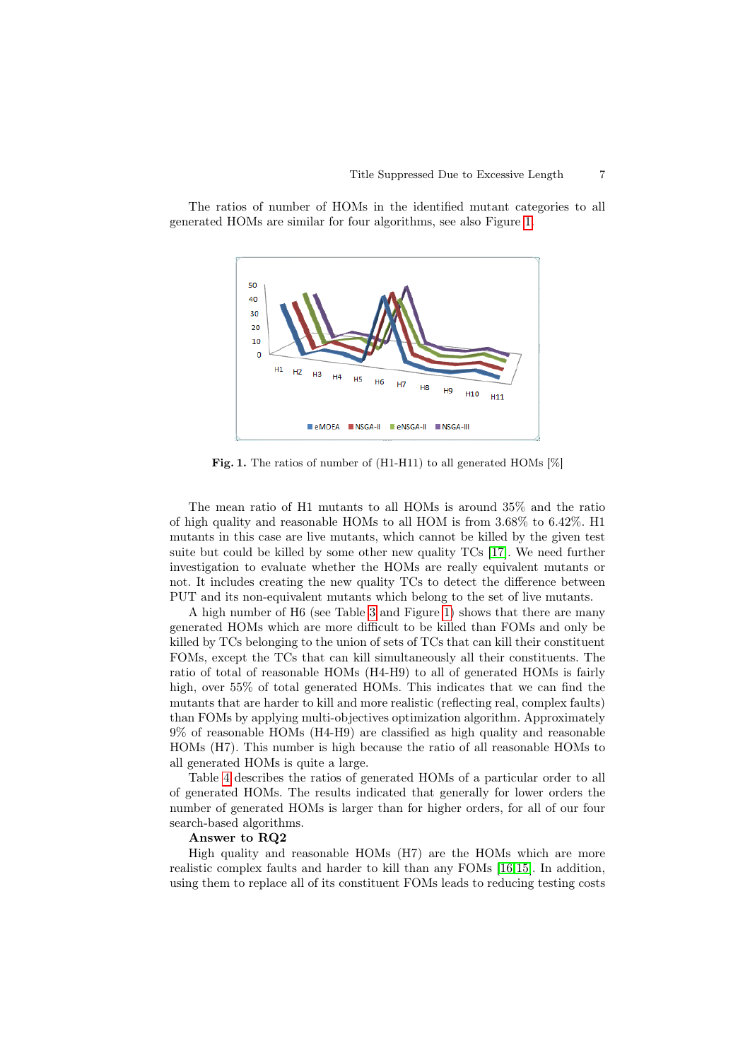

The ratios of number of HOMs in the identified mutant categories to all generated HOMs are similar for four algorithms, see also Figure [1.](#page-6-0)

<span id="page-6-0"></span>Fig. 1. The ratios of number of (H1-H11) to all generated HOMs [%]

The mean ratio of H1 mutants to all HOMs is around 35% and the ratio of high quality and reasonable HOMs to all HOM is from 3.68% to 6.42%. H1 mutants in this case are live mutants, which cannot be killed by the given test suite but could be killed by some other new quality TCs [\[17\]](#page-9-8). We need further investigation to evaluate whether the HOMs are really equivalent mutants or not. It includes creating the new quality TCs to detect the difference between PUT and its non-equivalent mutants which belong to the set of live mutants.

A high number of H6 (see Table [3](#page-5-0) and Figure [1\)](#page-6-0) shows that there are many generated HOMs which are more difficult to be killed than FOMs and only be killed by TCs belonging to the union of sets of TCs that can kill their constituent FOMs, except the TCs that can kill simultaneously all their constituents. The ratio of total of reasonable HOMs (H4-H9) to all of generated HOMs is fairly high, over 55% of total generated HOMs. This indicates that we can find the mutants that are harder to kill and more realistic (reflecting real, complex faults) than FOMs by applying multi-objectives optimization algorithm. Approximately 9% of reasonable HOMs (H4-H9) are classified as high quality and reasonable HOMs (H7). This number is high because the ratio of all reasonable HOMs to all generated HOMs is quite a large.

Table [4](#page-5-1) describes the ratios of generated HOMs of a particular order to all of generated HOMs. The results indicated that generally for lower orders the number of generated HOMs is larger than for higher orders, for all of our four search-based algorithms.

#### Answer to RQ2

High quality and reasonable HOMs (H7) are the HOMs which are more realistic complex faults and harder to kill than any FOMs [\[16,](#page-9-7)[15\]](#page-9-6). In addition, using them to replace all of its constituent FOMs leads to reducing testing costs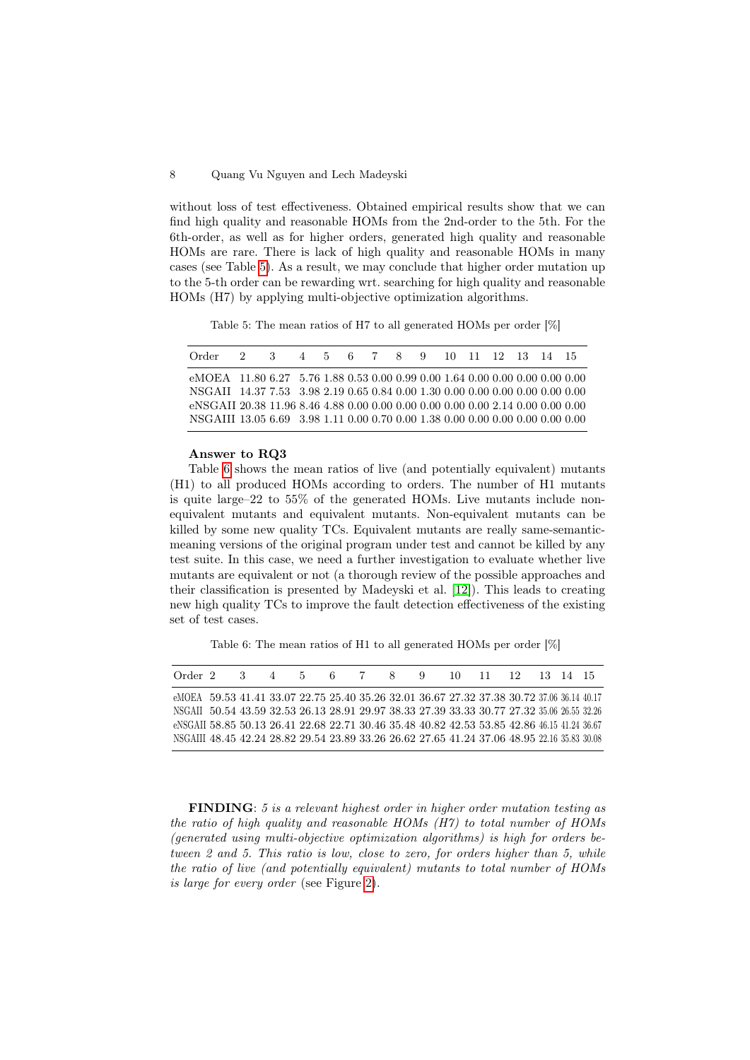without loss of test effectiveness. Obtained empirical results show that we can find high quality and reasonable HOMs from the 2nd-order to the 5th. For the 6th-order, as well as for higher orders, generated high quality and reasonable HOMs are rare. There is lack of high quality and reasonable HOMs in many cases (see Table [5\)](#page-7-0). As a result, we may conclude that higher order mutation up to the 5-th order can be rewarding wrt. searching for high quality and reasonable HOMs (H7) by applying multi-objective optimization algorithms.

Table 5: The mean ratios of H7 to all generated HOMs per order [%]

<span id="page-7-0"></span>

| Order                                                                           | 3 4 5 6 7 8 9 10 11 12 13 14 15 |  |  |  |  |  |  |
|---------------------------------------------------------------------------------|---------------------------------|--|--|--|--|--|--|
| eMOEA 11.80 6.27 5.76 1.88 0.53 0.00 0.99 0.00 1.64 0.00 0.00 0.00 0.00 0.00    |                                 |  |  |  |  |  |  |
|                                                                                 |                                 |  |  |  |  |  |  |
| eNSGAII 20.38 11.96 8.46 4.88 0.00 0.00 0.00 0.00 0.00 0.00 2.14 0.00 0.00 0.00 |                                 |  |  |  |  |  |  |
| NSGAIII 13.05 6.69 3.98 1.11 0.00 0.70 0.00 1.38 0.00 0.00 0.00 0.00 0.00 0.00  |                                 |  |  |  |  |  |  |

#### Answer to RQ3

Table [6](#page-7-1) shows the mean ratios of live (and potentially equivalent) mutants (H1) to all produced HOMs according to orders. The number of H1 mutants is quite large–22 to 55% of the generated HOMs. Live mutants include nonequivalent mutants and equivalent mutants. Non-equivalent mutants can be killed by some new quality TCs. Equivalent mutants are really same-semanticmeaning versions of the original program under test and cannot be killed by any test suite. In this case, we need a further investigation to evaluate whether live mutants are equivalent or not (a thorough review of the possible approaches and their classification is presented by Madeyski et al. [\[12\]](#page-9-3)). This leads to creating new high quality TCs to improve the fault detection effectiveness of the existing set of test cases.

Table 6: The mean ratios of H1 to all generated HOMs per order [%]

<span id="page-7-1"></span>

| Order 2 3 4 5 6 7 8 9 10 11 12 13 14 15                                                     |  |  |  |  |  |  |  |
|---------------------------------------------------------------------------------------------|--|--|--|--|--|--|--|
| eMOEA 59.53 41.41 33.07 22.75 25.40 35.26 32.01 36.67 27.32 37.38 30.72 37.06 36.14 40.17   |  |  |  |  |  |  |  |
| NSGAII 50.54 43.59 32.53 26.13 28.91 29.97 38.33 27.39 33.33 30.77 27.32 35.06 26.55 32.26  |  |  |  |  |  |  |  |
| eNSGAII 58.85 50.13 26.41 22.68 22.71 30.46 35.48 40.82 42.53 53.85 42.86 46.15 41.24 36.67 |  |  |  |  |  |  |  |
| NSGAIII 48.45 42.24 28.82 29.54 23.89 33.26 26.62 27.65 41.24 37.06 48.95 22.16 35.83 30.08 |  |  |  |  |  |  |  |

FINDING: 5 is a relevant highest order in higher order mutation testing as the ratio of high quality and reasonable  $HOMs$  ( $H\gamma$ ) to total number of  $HOMs$ (generated using multi-objective optimization algorithms) is high for orders between 2 and 5. This ratio is low, close to zero, for orders higher than 5, while the ratio of live (and potentially equivalent) mutants to total number of HOMs is large for every order (see Figure [2\)](#page-8-6).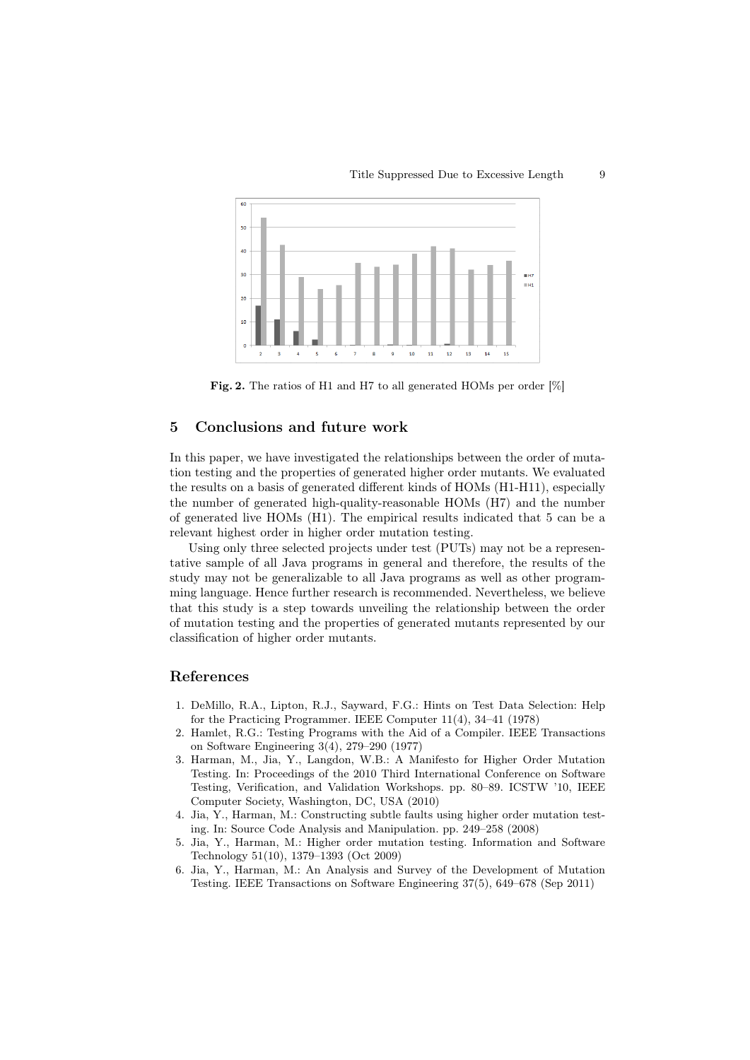

<span id="page-8-6"></span>Fig. 2. The ratios of H1 and H7 to all generated HOMs per order [%]

# 5 Conclusions and future work

In this paper, we have investigated the relationships between the order of mutation testing and the properties of generated higher order mutants. We evaluated the results on a basis of generated different kinds of HOMs (H1-H11), especially the number of generated high-quality-reasonable HOMs (H7) and the number of generated live HOMs (H1). The empirical results indicated that 5 can be a relevant highest order in higher order mutation testing.

Using only three selected projects under test (PUTs) may not be a representative sample of all Java programs in general and therefore, the results of the study may not be generalizable to all Java programs as well as other programming language. Hence further research is recommended. Nevertheless, we believe that this study is a step towards unveiling the relationship between the order of mutation testing and the properties of generated mutants represented by our classification of higher order mutants.

## References

- <span id="page-8-0"></span>1. DeMillo, R.A., Lipton, R.J., Sayward, F.G.: Hints on Test Data Selection: Help for the Practicing Programmer. IEEE Computer 11(4), 34–41 (1978)
- <span id="page-8-1"></span>2. Hamlet, R.G.: Testing Programs with the Aid of a Compiler. IEEE Transactions on Software Engineering 3(4), 279–290 (1977)
- <span id="page-8-4"></span>3. Harman, M., Jia, Y., Langdon, W.B.: A Manifesto for Higher Order Mutation Testing. In: Proceedings of the 2010 Third International Conference on Software Testing, Verification, and Validation Workshops. pp. 80–89. ICSTW '10, IEEE Computer Society, Washington, DC, USA (2010)
- <span id="page-8-5"></span>4. Jia, Y., Harman, M.: Constructing subtle faults using higher order mutation testing. In: Source Code Analysis and Manipulation. pp. 249–258 (2008)
- <span id="page-8-3"></span>5. Jia, Y., Harman, M.: Higher order mutation testing. Information and Software Technology 51(10), 1379–1393 (Oct 2009)
- <span id="page-8-2"></span>6. Jia, Y., Harman, M.: An Analysis and Survey of the Development of Mutation Testing. IEEE Transactions on Software Engineering 37(5), 649–678 (Sep 2011)